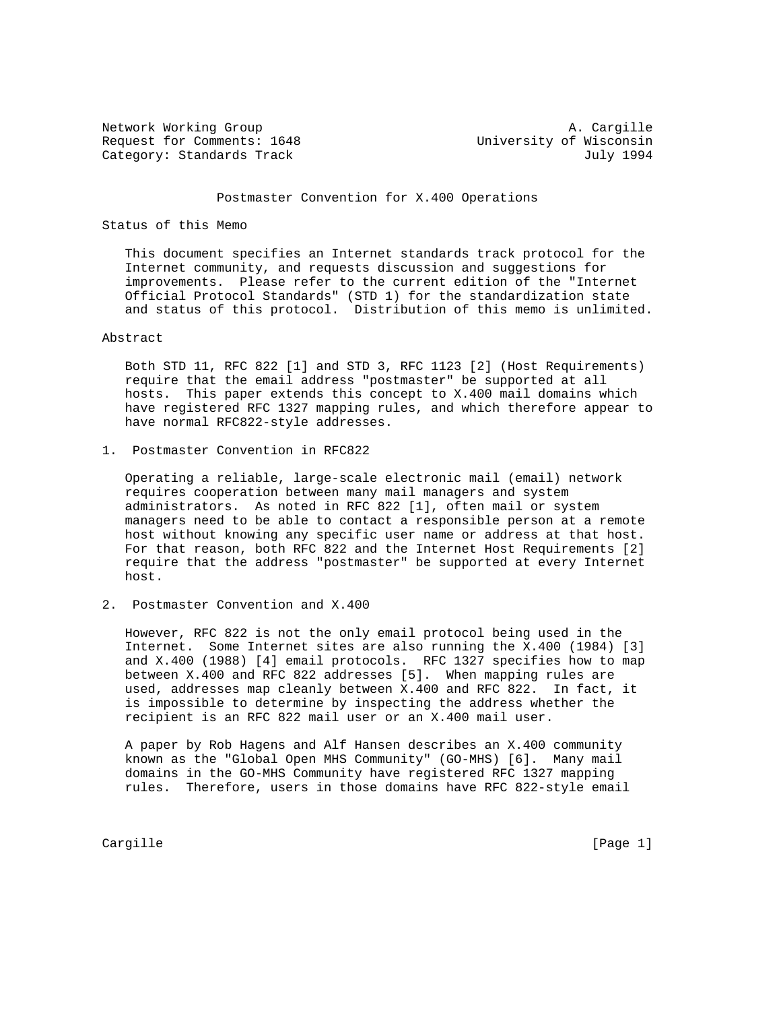Network Working Group<br>Request for Comments: 1648 Media and Music University of Wisconsin Request for Comments: 1648 Category: Standards Track July 1994

## Postmaster Convention for X.400 Operations

## Status of this Memo

 This document specifies an Internet standards track protocol for the Internet community, and requests discussion and suggestions for improvements. Please refer to the current edition of the "Internet Official Protocol Standards" (STD 1) for the standardization state and status of this protocol. Distribution of this memo is unlimited.

## Abstract

 Both STD 11, RFC 822 [1] and STD 3, RFC 1123 [2] (Host Requirements) require that the email address "postmaster" be supported at all hosts. This paper extends this concept to X.400 mail domains which have registered RFC 1327 mapping rules, and which therefore appear to have normal RFC822-style addresses.

1. Postmaster Convention in RFC822

 Operating a reliable, large-scale electronic mail (email) network requires cooperation between many mail managers and system administrators. As noted in RFC 822 [1], often mail or system managers need to be able to contact a responsible person at a remote host without knowing any specific user name or address at that host. For that reason, both RFC 822 and the Internet Host Requirements [2] require that the address "postmaster" be supported at every Internet host.

2. Postmaster Convention and X.400

 However, RFC 822 is not the only email protocol being used in the Internet. Some Internet sites are also running the X.400 (1984) [3] and X.400 (1988) [4] email protocols. RFC 1327 specifies how to map between X.400 and RFC 822 addresses [5]. When mapping rules are used, addresses map cleanly between X.400 and RFC 822. In fact, it is impossible to determine by inspecting the address whether the recipient is an RFC 822 mail user or an X.400 mail user.

 A paper by Rob Hagens and Alf Hansen describes an X.400 community known as the "Global Open MHS Community" (GO-MHS) [6]. Many mail domains in the GO-MHS Community have registered RFC 1327 mapping rules. Therefore, users in those domains have RFC 822-style email

Cargille [Page 1]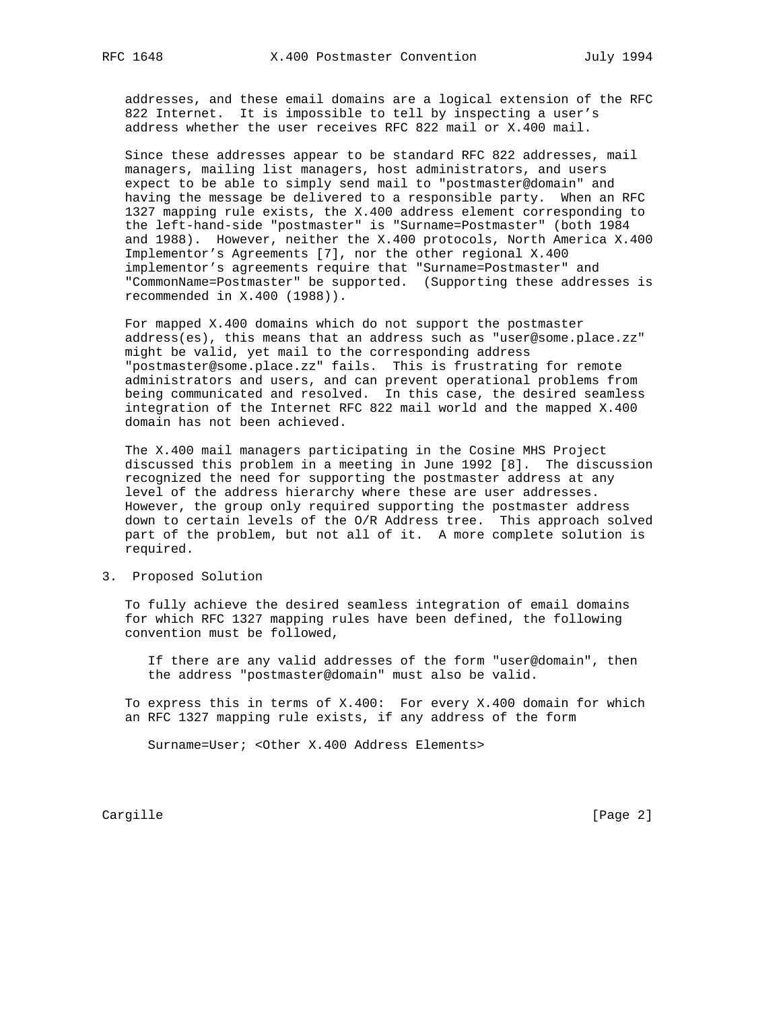addresses, and these email domains are a logical extension of the RFC 822 Internet. It is impossible to tell by inspecting a user's address whether the user receives RFC 822 mail or X.400 mail.

 Since these addresses appear to be standard RFC 822 addresses, mail managers, mailing list managers, host administrators, and users expect to be able to simply send mail to "postmaster@domain" and having the message be delivered to a responsible party. When an RFC 1327 mapping rule exists, the X.400 address element corresponding to the left-hand-side "postmaster" is "Surname=Postmaster" (both 1984 and 1988). However, neither the X.400 protocols, North America X.400 Implementor's Agreements [7], nor the other regional X.400 implementor's agreements require that "Surname=Postmaster" and "CommonName=Postmaster" be supported. (Supporting these addresses is recommended in X.400 (1988)).

 For mapped X.400 domains which do not support the postmaster address(es), this means that an address such as "user@some.place.zz" might be valid, yet mail to the corresponding address "postmaster@some.place.zz" fails. This is frustrating for remote administrators and users, and can prevent operational problems from being communicated and resolved. In this case, the desired seamless integration of the Internet RFC 822 mail world and the mapped X.400 domain has not been achieved.

 The X.400 mail managers participating in the Cosine MHS Project discussed this problem in a meeting in June 1992 [8]. The discussion recognized the need for supporting the postmaster address at any level of the address hierarchy where these are user addresses. However, the group only required supporting the postmaster address down to certain levels of the O/R Address tree. This approach solved part of the problem, but not all of it. A more complete solution is required.

3. Proposed Solution

 To fully achieve the desired seamless integration of email domains for which RFC 1327 mapping rules have been defined, the following convention must be followed,

 If there are any valid addresses of the form "user@domain", then the address "postmaster@domain" must also be valid.

 To express this in terms of X.400: For every X.400 domain for which an RFC 1327 mapping rule exists, if any address of the form

Surname=User; <Other X.400 Address Elements>

Cargille [Page 2]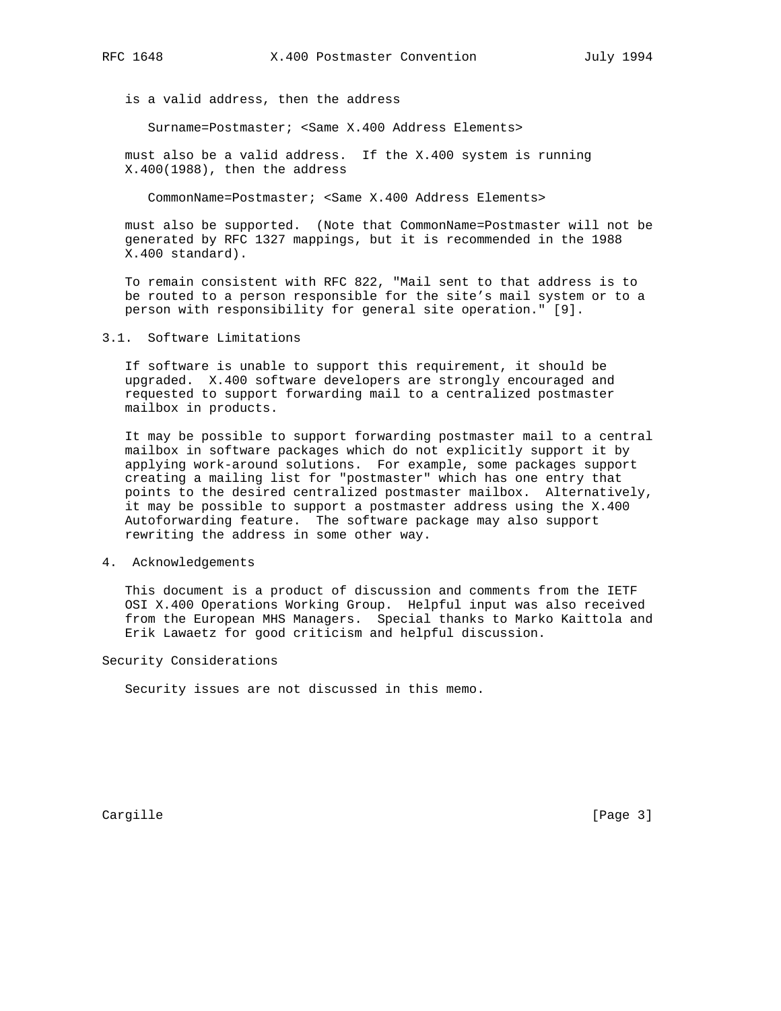is a valid address, then the address

Surname=Postmaster; <Same X.400 Address Elements>

 must also be a valid address. If the X.400 system is running X.400(1988), then the address

CommonName=Postmaster; <Same X.400 Address Elements>

 must also be supported. (Note that CommonName=Postmaster will not be generated by RFC 1327 mappings, but it is recommended in the 1988 X.400 standard).

 To remain consistent with RFC 822, "Mail sent to that address is to be routed to a person responsible for the site's mail system or to a person with responsibility for general site operation." [9].

## 3.1. Software Limitations

 If software is unable to support this requirement, it should be upgraded. X.400 software developers are strongly encouraged and requested to support forwarding mail to a centralized postmaster mailbox in products.

 It may be possible to support forwarding postmaster mail to a central mailbox in software packages which do not explicitly support it by applying work-around solutions. For example, some packages support creating a mailing list for "postmaster" which has one entry that points to the desired centralized postmaster mailbox. Alternatively, it may be possible to support a postmaster address using the X.400 Autoforwarding feature. The software package may also support rewriting the address in some other way.

4. Acknowledgements

 This document is a product of discussion and comments from the IETF OSI X.400 Operations Working Group. Helpful input was also received from the European MHS Managers. Special thanks to Marko Kaittola and Erik Lawaetz for good criticism and helpful discussion.

Security Considerations

Security issues are not discussed in this memo.

Cargille [Page 3]